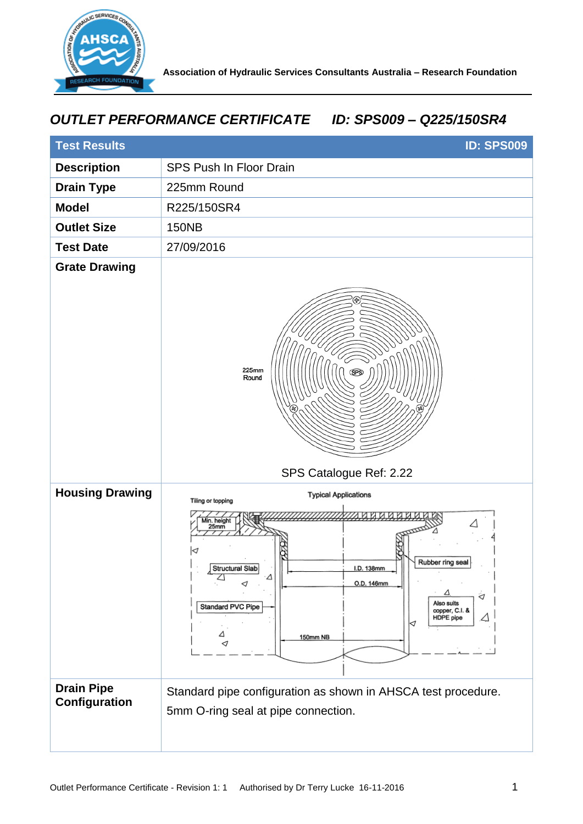

## *OUTLET PERFORMANCE CERTIFICATE ID: SPS009 – Q225/150SR4*